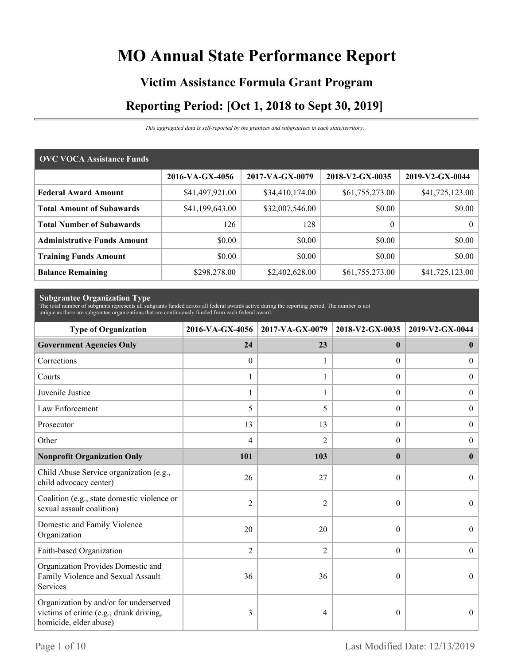# **MO Annual State Performance Report**

# **Victim Assistance Formula Grant Program Reporting Period: [Oct 1, 2018 to Sept 30, 2019]**

*This aggregated data is self-reported by the grantees and subgrantees in each state/territory.*

| <b>OVC VOCA Assistance Funds</b>   |                 |                 |                 |                 |  |  |  |
|------------------------------------|-----------------|-----------------|-----------------|-----------------|--|--|--|
|                                    | 2016-VA-GX-4056 | 2017-VA-GX-0079 | 2018-V2-GX-0035 | 2019-V2-GX-0044 |  |  |  |
| <b>Federal Award Amount</b>        | \$41,497,921.00 | \$34,410,174.00 | \$61,755,273.00 | \$41,725,123.00 |  |  |  |
| <b>Total Amount of Subawards</b>   | \$41,199,643.00 | \$32,007,546.00 | \$0.00          | \$0.00          |  |  |  |
| <b>Total Number of Subawards</b>   | 126             | 128             | $\theta$        | 0 <sup>1</sup>  |  |  |  |
| <b>Administrative Funds Amount</b> | \$0.00          | \$0.00          | \$0.00          | \$0.00          |  |  |  |
| <b>Training Funds Amount</b>       | \$0.00          | \$0.00          | \$0.00          | \$0.00          |  |  |  |
| <b>Balance Remaining</b>           | \$298,278.00    | \$2,402,628.00  | \$61,755,273.00 | \$41,725,123.00 |  |  |  |

**Subgrantee Organization Type** The total number of subgrants represents all subgrants funded across all federal awards active during the reporting period. The number is not unique as there are subgrantee organizations that are continuously funded from each federal award.

| <b>Type of Organization</b>                                                                                | 2016-VA-GX-4056 | 2017-VA-GX-0079 | 2018-V2-GX-0035  | 2019-V2-GX-0044  |
|------------------------------------------------------------------------------------------------------------|-----------------|-----------------|------------------|------------------|
| <b>Government Agencies Only</b>                                                                            | 24              | 23              | $\mathbf{0}$     | $\bf{0}$         |
| Corrections                                                                                                | $\theta$        |                 | $\Omega$         | $\overline{0}$   |
| Courts                                                                                                     | 1               |                 | $\overline{0}$   | $\overline{0}$   |
| Juvenile Justice                                                                                           | $\mathbf{1}$    | $\mathbf{1}$    | $\boldsymbol{0}$ | $\overline{0}$   |
| Law Enforcement                                                                                            | 5               | 5               | $\theta$         | $\boldsymbol{0}$ |
| Prosecutor                                                                                                 | 13              | 13              | $\overline{0}$   | $\boldsymbol{0}$ |
| Other                                                                                                      | 4               | $\overline{2}$  | 0                | $\overline{0}$   |
| <b>Nonprofit Organization Only</b>                                                                         | 101             | 103             | $\mathbf{0}$     | $\bf{0}$         |
| Child Abuse Service organization (e.g.,<br>child advocacy center)                                          | 26              | 27              | $\theta$         | $\Omega$         |
| Coalition (e.g., state domestic violence or<br>sexual assault coalition)                                   | $\overline{2}$  | 2               | $\theta$         | $\Omega$         |
| Domestic and Family Violence<br>Organization                                                               | 20              | 20              | $\theta$         | $\overline{0}$   |
| Faith-based Organization                                                                                   | $\overline{2}$  | $\mathfrak{2}$  | $\overline{0}$   | $\boldsymbol{0}$ |
| Organization Provides Domestic and<br>Family Violence and Sexual Assault<br>Services                       | 36              | 36              | $\theta$         | $\theta$         |
| Organization by and/or for underserved<br>victims of crime (e.g., drunk driving,<br>homicide, elder abuse) | 3               | 4               | $\theta$         | $\overline{0}$   |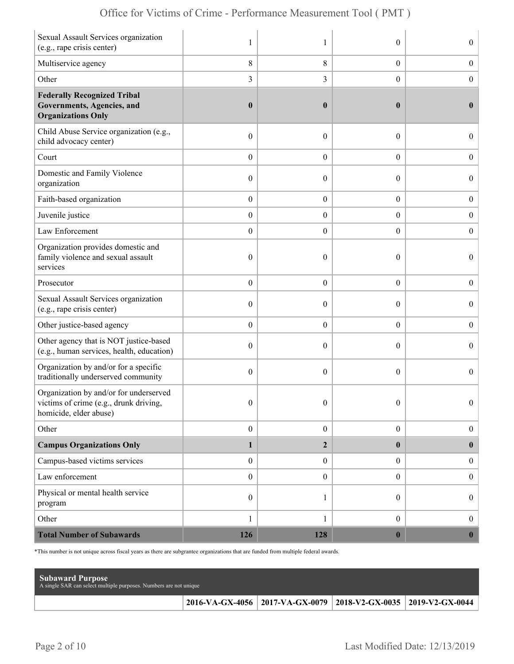| Sexual Assault Services organization<br>(e.g., rape crisis center)                                         | 1                | 1                | $\theta$         | $\boldsymbol{0}$ |
|------------------------------------------------------------------------------------------------------------|------------------|------------------|------------------|------------------|
| Multiservice agency                                                                                        | 8                | 8                | $\boldsymbol{0}$ | $\boldsymbol{0}$ |
| Other                                                                                                      | $\overline{3}$   | 3                | $\theta$         | $\mathbf{0}$     |
| <b>Federally Recognized Tribal</b><br>Governments, Agencies, and<br><b>Organizations Only</b>              | $\boldsymbol{0}$ | $\bf{0}$         | $\bf{0}$         | $\bf{0}$         |
| Child Abuse Service organization (e.g.,<br>child advocacy center)                                          | $\boldsymbol{0}$ | $\overline{0}$   | $\theta$         | $\overline{0}$   |
| Court                                                                                                      | $\boldsymbol{0}$ | $\overline{0}$   | $\overline{0}$   | $\boldsymbol{0}$ |
| Domestic and Family Violence<br>organization                                                               | $\boldsymbol{0}$ | $\overline{0}$   | $\boldsymbol{0}$ | $\boldsymbol{0}$ |
| Faith-based organization                                                                                   | $\boldsymbol{0}$ | $\boldsymbol{0}$ | $\boldsymbol{0}$ | $\boldsymbol{0}$ |
| Juvenile justice                                                                                           | $\boldsymbol{0}$ | $\overline{0}$   | $\overline{0}$   | $\overline{0}$   |
| Law Enforcement                                                                                            | $\boldsymbol{0}$ | $\boldsymbol{0}$ | $\theta$         | $\boldsymbol{0}$ |
| Organization provides domestic and<br>family violence and sexual assault<br>services                       | $\boldsymbol{0}$ | $\overline{0}$   | $\theta$         | $\overline{0}$   |
| Prosecutor                                                                                                 | $\boldsymbol{0}$ | $\overline{0}$   | $\boldsymbol{0}$ | $\boldsymbol{0}$ |
| Sexual Assault Services organization<br>(e.g., rape crisis center)                                         | $\boldsymbol{0}$ | $\boldsymbol{0}$ | $\theta$         | $\boldsymbol{0}$ |
| Other justice-based agency                                                                                 | $\boldsymbol{0}$ | $\boldsymbol{0}$ | $\overline{0}$   | $\boldsymbol{0}$ |
| Other agency that is NOT justice-based<br>(e.g., human services, health, education)                        | $\boldsymbol{0}$ | $\overline{0}$   | $\theta$         | $\overline{0}$   |
| Organization by and/or for a specific<br>traditionally underserved community                               | $\boldsymbol{0}$ | $\overline{0}$   | $\theta$         | $\overline{0}$   |
| Organization by and/or for underserved<br>victims of crime (e.g., drunk driving,<br>homicide, elder abuse) | $\boldsymbol{0}$ | $\boldsymbol{0}$ | $\boldsymbol{0}$ | $\Omega$         |
| Other                                                                                                      | $\boldsymbol{0}$ | $\boldsymbol{0}$ | $\boldsymbol{0}$ | $\overline{0}$   |
| <b>Campus Organizations Only</b>                                                                           | $\mathbf{1}$     | $\overline{2}$   | $\bf{0}$         | $\bf{0}$         |
| Campus-based victims services                                                                              | $\boldsymbol{0}$ | $\boldsymbol{0}$ | $\overline{0}$   | $\mathbf{0}$     |
| Law enforcement                                                                                            | $\boldsymbol{0}$ | $\boldsymbol{0}$ | $\overline{0}$   | $\boldsymbol{0}$ |
| Physical or mental health service<br>program                                                               | $\boldsymbol{0}$ | 1                | $\overline{0}$   | $\boldsymbol{0}$ |
| Other                                                                                                      | 1                | 1                | $\boldsymbol{0}$ | $\boldsymbol{0}$ |
| <b>Total Number of Subawards</b>                                                                           | 126              | 128              | $\boldsymbol{0}$ | $\mathbf{0}$     |

\*This number is not unique across fiscal years as there are subgrantee organizations that are funded from multiple federal awards.

| <b>Subaward Purpose</b><br>A single SAR can select multiple purposes. Numbers are not unique |                                                                 |  |
|----------------------------------------------------------------------------------------------|-----------------------------------------------------------------|--|
|                                                                                              | 2016-VA-GX-4056 2017-VA-GX-0079 2018-V2-GX-0035 2019-V2-GX-0044 |  |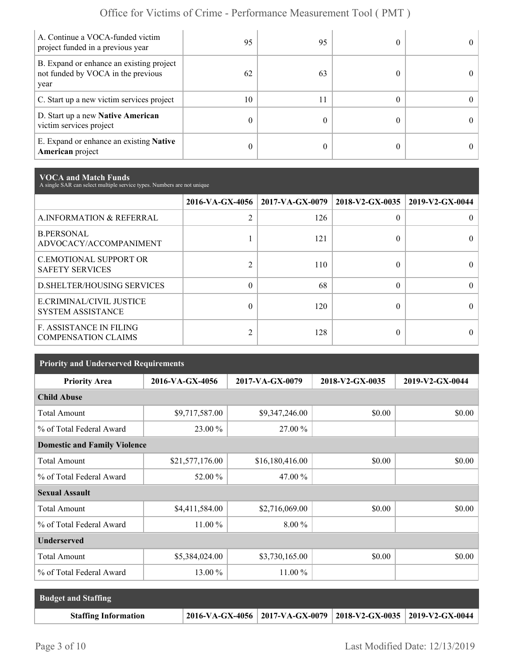| A. Continue a VOCA-funded victim<br>project funded in a previous year                  | 95 | 95 |  |
|----------------------------------------------------------------------------------------|----|----|--|
| B. Expand or enhance an existing project<br>not funded by VOCA in the previous<br>year | 62 | 63 |  |
| C. Start up a new victim services project                                              | 10 | 11 |  |
| D. Start up a new Native American<br>victim services project                           | 0  |    |  |
| E. Expand or enhance an existing <b>Native</b><br>American project                     | 0  |    |  |

**VOCA and Match Funds** A single SAR can select multiple service types. Numbers are not unique

|                                                              | 2016-VA-GX-4056 | $2017$ -VA-GX-0079 | 2018-V2-GX-0035 | 2019-V2-GX-0044 |
|--------------------------------------------------------------|-----------------|--------------------|-----------------|-----------------|
| A.INFORMATION & REFERRAL                                     | $\overline{2}$  | 126                | 0               |                 |
| <b>B.PERSONAL</b><br>ADVOCACY/ACCOMPANIMENT                  |                 | 121                | 0               |                 |
| <b>C.EMOTIONAL SUPPORT OR</b><br><b>SAFETY SERVICES</b>      | $\overline{2}$  | 110                | 0               |                 |
| <b>D.SHELTER/HOUSING SERVICES</b>                            | $\theta$        | 68                 | $\Omega$        |                 |
| E.CRIMINAL/CIVIL JUSTICE<br><b>SYSTEM ASSISTANCE</b>         | $\theta$        | 120                | 0               |                 |
| <b>F. ASSISTANCE IN FILING</b><br><b>COMPENSATION CLAIMS</b> | $\overline{2}$  | 128                | 0               |                 |

| <b>Priority and Underserved Requirements</b> |                 |                 |                 |                 |  |  |  |
|----------------------------------------------|-----------------|-----------------|-----------------|-----------------|--|--|--|
| <b>Priority Area</b>                         | 2016-VA-GX-4056 | 2017-VA-GX-0079 | 2018-V2-GX-0035 | 2019-V2-GX-0044 |  |  |  |
| <b>Child Abuse</b>                           |                 |                 |                 |                 |  |  |  |
| <b>Total Amount</b>                          | \$9,717,587.00  | \$9,347,246.00  | \$0.00          | \$0.00          |  |  |  |
| % of Total Federal Award                     | 23.00 %         | 27.00 %         |                 |                 |  |  |  |
| <b>Domestic and Family Violence</b>          |                 |                 |                 |                 |  |  |  |
| <b>Total Amount</b>                          | \$21,577,176.00 | \$16,180,416.00 | \$0.00          | \$0.00          |  |  |  |
| % of Total Federal Award                     | 52.00 %         | 47.00 %         |                 |                 |  |  |  |
| <b>Sexual Assault</b>                        |                 |                 |                 |                 |  |  |  |
| <b>Total Amount</b>                          | \$4,411,584.00  | \$2,716,069.00  | \$0.00          | \$0.00          |  |  |  |
| % of Total Federal Award                     | $11.00\%$       | 8.00 %          |                 |                 |  |  |  |
| <b>Underserved</b>                           |                 |                 |                 |                 |  |  |  |
| <b>Total Amount</b>                          | \$5,384,024.00  | \$3,730,165.00  | \$0.00          | \$0.00          |  |  |  |
| % of Total Federal Award                     | 13.00 %         | 11.00 %         |                 |                 |  |  |  |

| <b>Budget and Staffing</b>  |                                                                 |  |
|-----------------------------|-----------------------------------------------------------------|--|
| <b>Staffing Information</b> | 2016-VA-GX-4056 2017-VA-GX-0079 2018-V2-GX-0035 2019-V2-GX-0044 |  |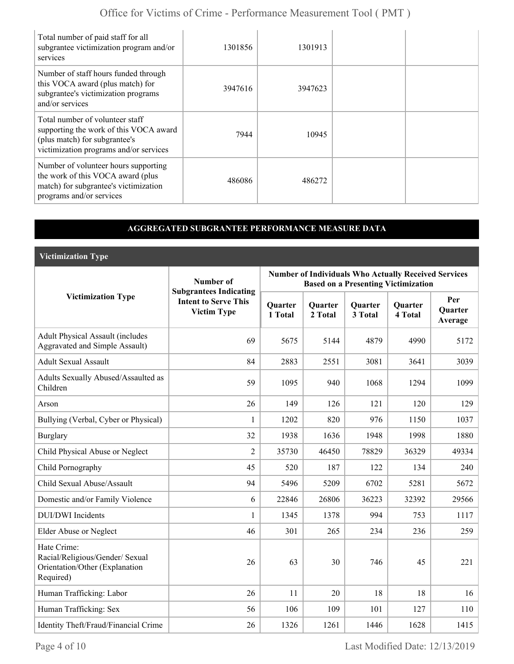| Total number of paid staff for all<br>subgrantee victimization program and/or<br>services                                                            | 1301856 | 1301913 |  |
|------------------------------------------------------------------------------------------------------------------------------------------------------|---------|---------|--|
| Number of staff hours funded through<br>this VOCA award (plus match) for<br>subgrantee's victimization programs<br>and/or services                   | 3947616 | 3947623 |  |
| Total number of volunteer staff<br>supporting the work of this VOCA award<br>(plus match) for subgrantee's<br>victimization programs and/or services | 7944    | 10945   |  |
| Number of volunteer hours supporting<br>the work of this VOCA award (plus<br>match) for subgrantee's victimization<br>programs and/or services       | 486086  | 486272  |  |

### **AGGREGATED SUBGRANTEE PERFORMANCE MEASURE DATA**

**Victimization Type**

|                                                                                               | Number of                                                                          | <b>Number of Individuals Who Actually Received Services</b><br><b>Based on a Presenting Victimization</b> |                    |                    |                           |                                  |  |
|-----------------------------------------------------------------------------------------------|------------------------------------------------------------------------------------|-----------------------------------------------------------------------------------------------------------|--------------------|--------------------|---------------------------|----------------------------------|--|
| <b>Victimization Type</b>                                                                     | <b>Subgrantees Indicating</b><br><b>Intent to Serve This</b><br><b>Victim Type</b> | <b>Quarter</b><br>1 Total                                                                                 | Quarter<br>2 Total | Quarter<br>3 Total | <b>Quarter</b><br>4 Total | Per<br><b>Ouarter</b><br>Average |  |
| <b>Adult Physical Assault (includes</b><br><b>Aggravated and Simple Assault)</b>              | 69                                                                                 | 5675                                                                                                      | 5144               | 4879               | 4990                      | 5172                             |  |
| <b>Adult Sexual Assault</b>                                                                   | 84                                                                                 | 2883                                                                                                      | 2551               | 3081               | 3641                      | 3039                             |  |
| Adults Sexually Abused/Assaulted as<br>Children                                               | 59                                                                                 | 1095                                                                                                      | 940                | 1068               | 1294                      | 1099                             |  |
| Arson                                                                                         | 26                                                                                 | 149                                                                                                       | 126                | 121                | 120                       | 129                              |  |
| Bullying (Verbal, Cyber or Physical)                                                          | 1                                                                                  | 1202                                                                                                      | 820                | 976                | 1150                      | 1037                             |  |
| <b>Burglary</b>                                                                               | 32                                                                                 | 1938                                                                                                      | 1636               | 1948               | 1998                      | 1880                             |  |
| Child Physical Abuse or Neglect                                                               | $\overline{2}$                                                                     | 35730                                                                                                     | 46450              | 78829              | 36329                     | 49334                            |  |
| Child Pornography                                                                             | 45                                                                                 | 520                                                                                                       | 187                | 122                | 134                       | 240                              |  |
| Child Sexual Abuse/Assault                                                                    | 94                                                                                 | 5496                                                                                                      | 5209               | 6702               | 5281                      | 5672                             |  |
| Domestic and/or Family Violence                                                               | 6                                                                                  | 22846                                                                                                     | 26806              | 36223              | 32392                     | 29566                            |  |
| <b>DUI/DWI</b> Incidents                                                                      | 1                                                                                  | 1345                                                                                                      | 1378               | 994                | 753                       | 1117                             |  |
| <b>Elder Abuse or Neglect</b>                                                                 | 46                                                                                 | 301                                                                                                       | 265                | 234                | 236                       | 259                              |  |
| Hate Crime:<br>Racial/Religious/Gender/ Sexual<br>Orientation/Other (Explanation<br>Required) | 26                                                                                 | 63                                                                                                        | 30                 | 746                | 45                        | 221                              |  |
| Human Trafficking: Labor                                                                      | 26                                                                                 | 11                                                                                                        | 20                 | 18                 | 18                        | 16                               |  |
| Human Trafficking: Sex                                                                        | 56                                                                                 | 106                                                                                                       | 109                | 101                | 127                       | 110                              |  |
| Identity Theft/Fraud/Financial Crime                                                          | 26                                                                                 | 1326                                                                                                      | 1261               | 1446               | 1628                      | 1415                             |  |

Page 4 of 10 Last Modified Date: 12/13/2019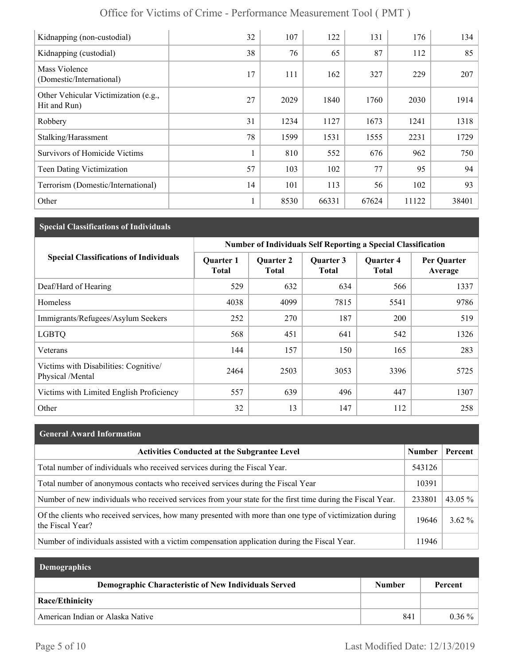| Kidnapping (non-custodial)                           | 32 | 107  | 122   | 131   | 176   | 134   |
|------------------------------------------------------|----|------|-------|-------|-------|-------|
| Kidnapping (custodial)                               | 38 | 76   | 65    | 87    | 112   | 85    |
| Mass Violence<br>(Domestic/International)            | 17 | 111  | 162   | 327   | 229   | 207   |
| Other Vehicular Victimization (e.g.,<br>Hit and Run) | 27 | 2029 | 1840  | 1760  | 2030  | 1914  |
| Robbery                                              | 31 | 1234 | 1127  | 1673  | 1241  | 1318  |
| Stalking/Harassment                                  | 78 | 1599 | 1531  | 1555  | 2231  | 1729  |
| <b>Survivors of Homicide Victims</b>                 | 1  | 810  | 552   | 676   | 962   | 750   |
| Teen Dating Victimization                            | 57 | 103  | 102   | 77    | 95    | 94    |
| Terrorism (Domestic/International)                   | 14 | 101  | 113   | 56    | 102   | 93    |
| Other                                                | 1  | 8530 | 66331 | 67624 | 11122 | 38401 |

## **Special Classifications of Individuals**

|                                                          | <b>Number of Individuals Self Reporting a Special Classification</b> |                                  |                           |                                  |                        |  |
|----------------------------------------------------------|----------------------------------------------------------------------|----------------------------------|---------------------------|----------------------------------|------------------------|--|
| <b>Special Classifications of Individuals</b>            | <b>Quarter 1</b><br><b>Total</b>                                     | <b>Quarter 2</b><br><b>Total</b> | Quarter 3<br><b>Total</b> | <b>Ouarter 4</b><br><b>Total</b> | Per Quarter<br>Average |  |
| Deaf/Hard of Hearing                                     | 529                                                                  | 632                              | 634                       | 566                              | 1337                   |  |
| Homeless                                                 | 4038                                                                 | 4099                             | 7815                      | 5541                             | 9786                   |  |
| Immigrants/Refugees/Asylum Seekers                       | 252                                                                  | 270                              | 187                       | 200                              | 519                    |  |
| <b>LGBTQ</b>                                             | 568                                                                  | 451                              | 641                       | 542                              | 1326                   |  |
| Veterans                                                 | 144                                                                  | 157                              | 150                       | 165                              | 283                    |  |
| Victims with Disabilities: Cognitive<br>Physical /Mental | 2464                                                                 | 2503                             | 3053                      | 3396                             | 5725                   |  |
| Victims with Limited English Proficiency                 | 557                                                                  | 639                              | 496                       | 447                              | 1307                   |  |
| Other                                                    | 32                                                                   | 13                               | 147                       | 112                              | 258                    |  |

## **General Award Information**

| <b>Activities Conducted at the Subgrantee Level</b>                                                                          | <b>Number</b> | Percent  |
|------------------------------------------------------------------------------------------------------------------------------|---------------|----------|
| Total number of individuals who received services during the Fiscal Year.                                                    | 543126        |          |
| Total number of anonymous contacts who received services during the Fiscal Year                                              | 10391         |          |
| Number of new individuals who received services from your state for the first time during the Fiscal Year.                   | 233801        | 43.05 %  |
| Of the clients who received services, how many presented with more than one type of victimization during<br>the Fiscal Year? | 19646         | $3.62\%$ |
| Number of individuals assisted with a victim compensation application during the Fiscal Year.                                | 11946         |          |

| <b>Demographics</b>                                  |               |          |  |
|------------------------------------------------------|---------------|----------|--|
| Demographic Characteristic of New Individuals Served | <b>Number</b> | Percent  |  |
| Race/Ethinicity                                      |               |          |  |
| American Indian or Alaska Native                     | 841           | $0.36\%$ |  |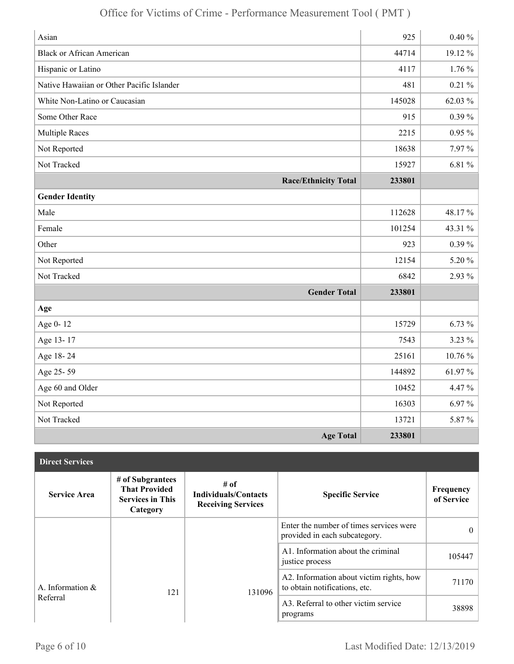| Asian                                     | 925    | $0.40 \%$  |
|-------------------------------------------|--------|------------|
| <b>Black or African American</b>          | 44714  | 19.12%     |
| Hispanic or Latino                        | 4117   | $1.76\%$   |
| Native Hawaiian or Other Pacific Islander | 481    | $0.21\%$   |
| White Non-Latino or Caucasian             | 145028 | 62.03 %    |
| Some Other Race                           | 915    | $0.39\%$   |
| <b>Multiple Races</b>                     | 2215   | $0.95\ \%$ |
| Not Reported                              | 18638  | 7.97%      |
| Not Tracked                               | 15927  | 6.81 %     |
| <b>Race/Ethnicity Total</b>               | 233801 |            |
| <b>Gender Identity</b>                    |        |            |
| Male                                      | 112628 | 48.17%     |
| Female                                    | 101254 | 43.31 %    |
| Other                                     | 923    | $0.39\%$   |
| Not Reported                              | 12154  | 5.20%      |
| Not Tracked                               | 6842   | 2.93 %     |
| <b>Gender Total</b>                       | 233801 |            |
| Age                                       |        |            |
| Age 0-12                                  | 15729  | 6.73%      |
| Age 13-17                                 | 7543   | 3.23 %     |
| Age 18-24                                 | 25161  | 10.76 %    |
| Age 25-59                                 | 144892 | 61.97%     |
| Age 60 and Older                          | 10452  | 4.47 %     |
| Not Reported                              | 16303  | 6.97%      |
| Not Tracked                               | 13721  | 5.87%      |
| <b>Age Total</b>                          | 233801 |            |

| <b>Direct Services</b> |                                                                                 |                                                                    |                                                                           |                         |
|------------------------|---------------------------------------------------------------------------------|--------------------------------------------------------------------|---------------------------------------------------------------------------|-------------------------|
| <b>Service Area</b>    | # of Subgrantees<br><b>That Provided</b><br><b>Services in This</b><br>Category | $#$ of<br><b>Individuals/Contacts</b><br><b>Receiving Services</b> | <b>Specific Service</b>                                                   | Frequency<br>of Service |
|                        |                                                                                 |                                                                    | Enter the number of times services were<br>provided in each subcategory.  | $\theta$                |
|                        |                                                                                 |                                                                    | A1. Information about the criminal<br>justice process                     | 105447                  |
| A. Information $\&$    | 121                                                                             | 131096                                                             | A2. Information about victim rights, how<br>to obtain notifications, etc. | 71170                   |
| Referral               |                                                                                 |                                                                    | A3. Referral to other victim service<br>programs                          | 38898                   |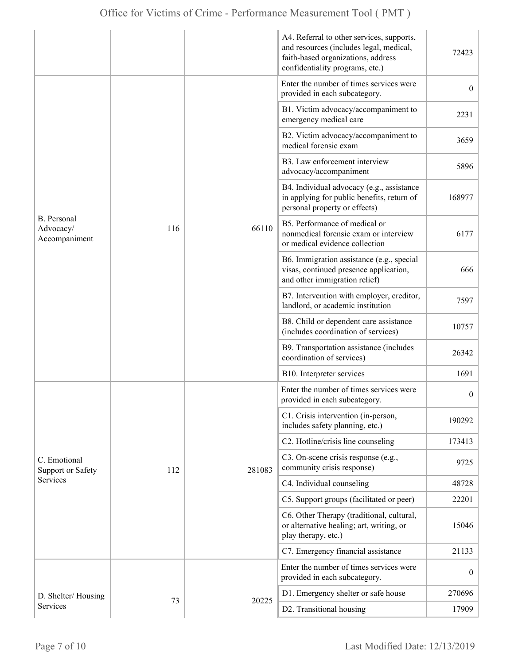|                                                  |     |        | A4. Referral to other services, supports,<br>and resources (includes legal, medical,<br>faith-based organizations, address<br>confidentiality programs, etc.) | 72423            |
|--------------------------------------------------|-----|--------|---------------------------------------------------------------------------------------------------------------------------------------------------------------|------------------|
|                                                  |     |        | Enter the number of times services were<br>provided in each subcategory.                                                                                      | $\overline{0}$   |
|                                                  |     |        | B1. Victim advocacy/accompaniment to<br>emergency medical care                                                                                                | 2231             |
|                                                  |     |        | B2. Victim advocacy/accompaniment to<br>medical forensic exam                                                                                                 | 3659             |
|                                                  |     | 66110  | B3. Law enforcement interview<br>advocacy/accompaniment                                                                                                       | 5896             |
| <b>B.</b> Personal<br>Advocacy/<br>Accompaniment |     |        | B4. Individual advocacy (e.g., assistance<br>in applying for public benefits, return of<br>personal property or effects)                                      | 168977           |
|                                                  | 116 |        | B5. Performance of medical or<br>nonmedical forensic exam or interview<br>or medical evidence collection                                                      | 6177             |
|                                                  |     |        | B6. Immigration assistance (e.g., special<br>visas, continued presence application,<br>and other immigration relief)                                          | 666              |
|                                                  |     |        | B7. Intervention with employer, creditor,<br>landlord, or academic institution                                                                                | 7597             |
|                                                  |     |        | B8. Child or dependent care assistance<br>(includes coordination of services)                                                                                 | 10757            |
|                                                  |     |        | B9. Transportation assistance (includes<br>coordination of services)                                                                                          | 26342            |
|                                                  |     |        | B10. Interpreter services                                                                                                                                     | 1691             |
|                                                  |     |        | Enter the number of times services were<br>provided in each subcategory.                                                                                      | $\boldsymbol{0}$ |
|                                                  |     |        | C1. Crisis intervention (in-person,<br>includes safety planning, etc.)                                                                                        | 190292           |
|                                                  |     |        | C2. Hotline/crisis line counseling                                                                                                                            | 173413           |
| C. Emotional<br><b>Support or Safety</b>         | 112 | 281083 | C3. On-scene crisis response (e.g.,<br>community crisis response)                                                                                             | 9725             |
| <b>Services</b>                                  |     |        | C4. Individual counseling                                                                                                                                     | 48728            |
|                                                  |     |        | C5. Support groups (facilitated or peer)                                                                                                                      | 22201            |
|                                                  |     |        | C6. Other Therapy (traditional, cultural,<br>or alternative healing; art, writing, or<br>play therapy, etc.)                                                  | 15046            |
|                                                  |     |        | C7. Emergency financial assistance                                                                                                                            | 21133            |
|                                                  |     |        | Enter the number of times services were<br>provided in each subcategory.                                                                                      | $\overline{0}$   |
| D. Shelter/Housing                               |     |        | D1. Emergency shelter or safe house                                                                                                                           | 270696           |
| Services                                         | 73  | 20225  | D2. Transitional housing                                                                                                                                      | 17909            |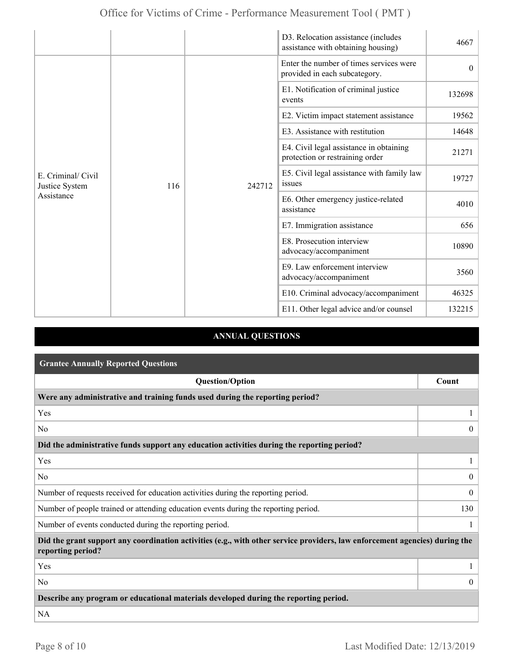|                                                    |     |                                                                                                                           | D3. Relocation assistance (includes<br>assistance with obtaining housing)  | 4667     |
|----------------------------------------------------|-----|---------------------------------------------------------------------------------------------------------------------------|----------------------------------------------------------------------------|----------|
| E. Criminal/ Civil<br>Justice System<br>Assistance |     |                                                                                                                           | Enter the number of times services were<br>provided in each subcategory.   | $\theta$ |
|                                                    |     |                                                                                                                           | E1. Notification of criminal justice<br>events                             | 132698   |
|                                                    |     |                                                                                                                           | E2. Victim impact statement assistance                                     | 19562    |
|                                                    |     |                                                                                                                           | E3. Assistance with restitution                                            | 14648    |
|                                                    |     |                                                                                                                           | E4. Civil legal assistance in obtaining<br>protection or restraining order | 21271    |
|                                                    | 116 | 242712                                                                                                                    | E5. Civil legal assistance with family law<br>issues                       | 19727    |
|                                                    |     | assistance<br>E7. Immigration assistance<br>E8. Prosecution interview<br>advocacy/accompaniment<br>advocacy/accompaniment | E6. Other emergency justice-related                                        | 4010     |
|                                                    |     |                                                                                                                           |                                                                            | 656      |
|                                                    |     |                                                                                                                           |                                                                            | 10890    |
|                                                    |     |                                                                                                                           | E9. Law enforcement interview                                              | 3560     |
|                                                    |     |                                                                                                                           | E10. Criminal advocacy/accompaniment                                       | 46325    |
|                                                    |     |                                                                                                                           | E11. Other legal advice and/or counsel                                     | 132215   |

## **ANNUAL QUESTIONS**

| <b>Grantee Annually Reported Questions</b>                                                                                                       |                |  |
|--------------------------------------------------------------------------------------------------------------------------------------------------|----------------|--|
| <b>Question/Option</b>                                                                                                                           | Count          |  |
| Were any administrative and training funds used during the reporting period?                                                                     |                |  |
| Yes                                                                                                                                              |                |  |
| N <sub>0</sub>                                                                                                                                   | $\theta$       |  |
| Did the administrative funds support any education activities during the reporting period?                                                       |                |  |
| Yes                                                                                                                                              | 1              |  |
| N <sub>0</sub>                                                                                                                                   | $\overline{0}$ |  |
| Number of requests received for education activities during the reporting period.                                                                | $\mathbf{0}$   |  |
| Number of people trained or attending education events during the reporting period.                                                              | 130            |  |
| Number of events conducted during the reporting period.                                                                                          |                |  |
| Did the grant support any coordination activities (e.g., with other service providers, law enforcement agencies) during the<br>reporting period? |                |  |
| Yes                                                                                                                                              |                |  |
| N <sub>0</sub>                                                                                                                                   | $\Omega$       |  |
| Describe any program or educational materials developed during the reporting period.                                                             |                |  |
| <b>NA</b>                                                                                                                                        |                |  |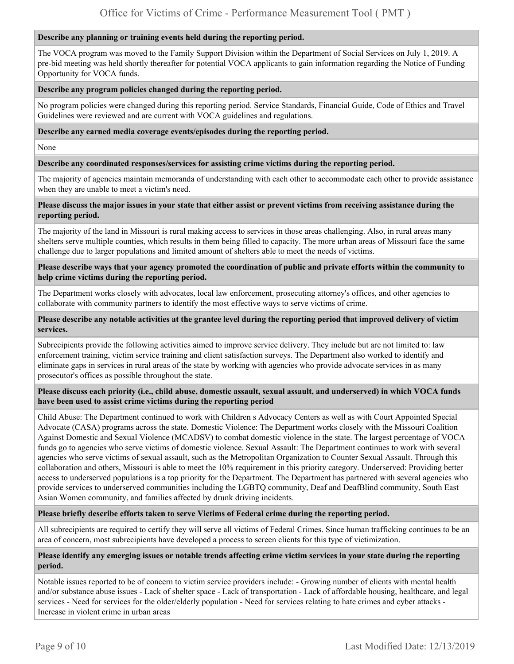#### **Describe any planning or training events held during the reporting period.**

The VOCA program was moved to the Family Support Division within the Department of Social Services on July 1, 2019. A pre-bid meeting was held shortly thereafter for potential VOCA applicants to gain information regarding the Notice of Funding Opportunity for VOCA funds.

#### **Describe any program policies changed during the reporting period.**

No program policies were changed during this reporting period. Service Standards, Financial Guide, Code of Ethics and Travel Guidelines were reviewed and are current with VOCA guidelines and regulations.

**Describe any earned media coverage events/episodes during the reporting period.** 

None

#### **Describe any coordinated responses/services for assisting crime victims during the reporting period.**

The majority of agencies maintain memoranda of understanding with each other to accommodate each other to provide assistance when they are unable to meet a victim's need.

#### **Please discuss the major issues in your state that either assist or prevent victims from receiving assistance during the reporting period.**

The majority of the land in Missouri is rural making access to services in those areas challenging. Also, in rural areas many shelters serve multiple counties, which results in them being filled to capacity. The more urban areas of Missouri face the same challenge due to larger populations and limited amount of shelters able to meet the needs of victims.

#### **Please describe ways that your agency promoted the coordination of public and private efforts within the community to help crime victims during the reporting period.**

The Department works closely with advocates, local law enforcement, prosecuting attorney's offices, and other agencies to collaborate with community partners to identify the most effective ways to serve victims of crime.

#### **Please describe any notable activities at the grantee level during the reporting period that improved delivery of victim services.**

Subrecipients provide the following activities aimed to improve service delivery. They include but are not limited to: law enforcement training, victim service training and client satisfaction surveys. The Department also worked to identify and eliminate gaps in services in rural areas of the state by working with agencies who provide advocate services in as many prosecutor's offices as possible throughout the state.

#### **Please discuss each priority (i.e., child abuse, domestic assault, sexual assault, and underserved) in which VOCA funds have been used to assist crime victims during the reporting period**

Child Abuse: The Department continued to work with Children s Advocacy Centers as well as with Court Appointed Special Advocate (CASA) programs across the state. Domestic Violence: The Department works closely with the Missouri Coalition Against Domestic and Sexual Violence (MCADSV) to combat domestic violence in the state. The largest percentage of VOCA funds go to agencies who serve victims of domestic violence. Sexual Assault: The Department continues to work with several agencies who serve victims of sexual assault, such as the Metropolitan Organization to Counter Sexual Assault. Through this collaboration and others, Missouri is able to meet the 10% requirement in this priority category. Underserved: Providing better access to underserved populations is a top priority for the Department. The Department has partnered with several agencies who provide services to underserved communities including the LGBTQ community, Deaf and DeafBlind community, South East Asian Women community, and families affected by drunk driving incidents.

#### **Please briefly describe efforts taken to serve Victims of Federal crime during the reporting period.**

All subrecipients are required to certify they will serve all victims of Federal Crimes. Since human trafficking continues to be an area of concern, most subrecipients have developed a process to screen clients for this type of victimization.

#### **Please identify any emerging issues or notable trends affecting crime victim services in your state during the reporting period.**

Notable issues reported to be of concern to victim service providers include: - Growing number of clients with mental health and/or substance abuse issues - Lack of shelter space - Lack of transportation - Lack of affordable housing, healthcare, and legal services - Need for services for the older/elderly population - Need for services relating to hate crimes and cyber attacks - Increase in violent crime in urban areas